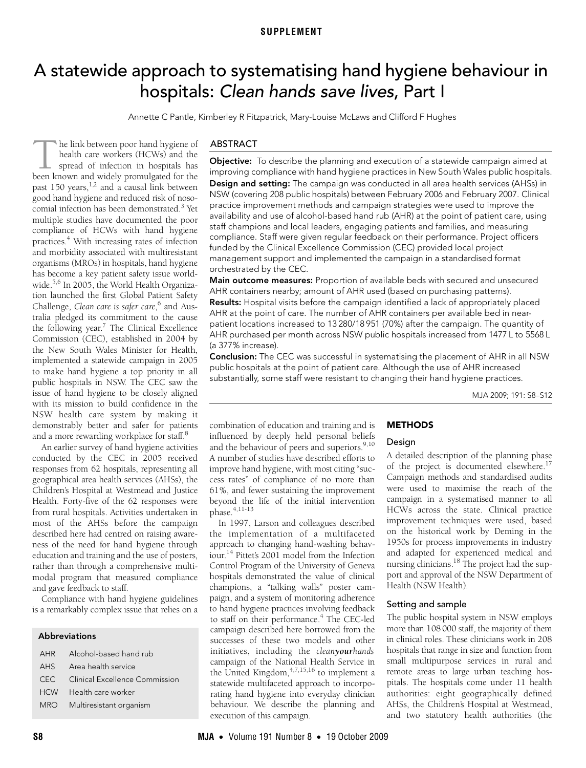# <span id="page-0-0"></span>A statewide approach to systematising hand hygiene behaviour in hospitals: Clean hands save lives, Part I

Annette C Pantle, Kimberley R Fitzpatrick, Mary-Louise McLaws and Clifford F Hughes

mumple studies have documented the poor<br>compliance of HCWs with hand hygie[ne](#page-0-0)  $\frac{1}{4}$   $\frac{1}{2}$  or  $\frac{1}{2}$  or  $\frac{1}{2}$  or  $\frac{1}{2}$  sum and  $\frac{1}{2}$  sum and  $\frac{1}{2}$  sum and  $\frac{1}{2}$  sum and  $\frac{1}{2}$  sum and  $\frac{1}{2}$  sum and  $\frac{1}{2}$  sum and  $\frac{1}{2}$  sum and  $\frac{1}{2}$  sum and  $\frac{1}{2}$  practices.<sup>[4](#page-4-3)</sup> With increasing rates of infection and morbidity associated with multiresistant organisms (MROs) in hospitals, hand hygiene has become a key patient safety issue worldhe link between poor hand hygiene of health care workers (HCWs) and the spread of infection in hospitals has The link between poor hand hygiene of<br>health care workers (HCWs) and the<br>spread of infection in hospitals has<br>been known and widely promulgated for the past  $150 \text{ years},^{1,2}$  and a causal link between good hand hygiene and reduced risk of noso-comial infection has been demonstrated.<sup>[3](#page-4-2)</sup> Yet multiple studies have documented the poor wide.<sup>5,6</sup> In 2005, the World Health Organization launched the first Global Patient Safety Challenge, *Clean care is safer care*,<sup>[6](#page-4-5)</sup> and Australia pledged its commitment to the cause the following year.<sup>7</sup> The Clinical Excellence Commission (CEC), established in 2004 by the New South Wales Minister for Health, implemented a statewide campaign in 2005 to make hand hygiene a top priority in all public hospitals in NSW. The CEC saw the issue of hand hygiene to be closely aligned with its mission to build confidence in the NSW health care system by making it demonstrably better and safer for patients and a more rewarding workplace for staff.<sup>[8](#page-4-7)</sup>

An earlier survey of hand hygiene activities conducted by the CEC in 2005 received responses from 62 hospitals, representing all geographical area health services (AHSs), the Children's Hospital at Westmead and Justice Health. Forty-five of the 62 responses were from rural hospitals. Activities undertaken in most of the AHSs before the campaign described here had centred on raising awareness of the need for hand hygiene through education and training and the use of posters, rather than through a comprehensive multimodal program that measured compliance and gave feedback to staff.

Compliance with hand hygiene guidelines is a remarkably complex issue that relies on a

#### Abbreviations

- AHR Alcohol-based hand rub AHS Area health service CEC Clinical Excellence Commission HCW Health care worker
- MRO Multiresistant organism

# ABSTRACT

Objective: To describe the planning and execution of a statewide campaign aimed at improving compliance with hand hygiene practices in New South Wales public hospitals. Design and setting: The campaign was conducted in all area health services (AHSs) in NSW (covering 208 public hospitals) between February 2006 and February 2007. Clinical practice improvement methods and campaign strategies were used to improve the availability and use of alcohol-based hand rub (AHR) at the point of patient care, using staff champions and local leaders, engaging patients and families, and measuring compliance. Staff were given regular feedback on their performance. Project officers funded by the Clinical Excellence Commission (CEC) provided local project management support and implemented the campaign in a standardised format orchestrated by the CEC.

Main outcome measures: Proportion of available beds with secured and unsecured AHR containers nearby; amount of AHR used (based on purchasing patterns).

Results: Hospital visits before the campaign identified a lack of appropriately placed AHR at the point of care. The number of AHR containers per available bed in nearpatient locations increased to 13 280/18 951 (70%) after the campaign. The quantity of AHR purchased per month across NSW public hospitals increased from 1477 L to 5568 L (a 377% increase).

Conclusion: The CEC was successful in systematising the placement of AHR in all NSW public hospitals at the point of patient care. Although the use of AHR increased substantially, some staff were resistant to changing their hand hygiene practices.

MJA 2009; 191: S8–S12

combination of education and training and is influenced by deeply held personal beliefs and the behaviour of peers and superiors. $9,10$  $9,10$  $9,10$ A number of studies have described efforts to improve hand hygiene, with most citing "success rates" of compliance of no more than 61%, and fewer sustaining the improvement beyond the life of the initial intervention phase.<sup>[4](#page-4-3),[11-](#page-4-10)[13](#page-4-11)</sup>

In 1997, Larson and colleagues described the implementation of a multifaceted approach to changing hand-washing behaviour[.14](#page-4-12) Pittet's 2001 model from the Infection Control Program of the University of Geneva hospitals demonstrated the value of clinical champions, a "talking walls" poster campaign, and a system of monitoring adherence to hand hygiene practices involving feedback to staff on their performance.<sup>4</sup> The CEC-led campaign described here borrowed from the successes of these two models and other initiatives, including the *cleanyourhands* campaign of the National Health Service in the United Kingdom,  $4,7,15,16$  $4,7,15,16$  $4,7,15,16$  $4,7,15,16$  to implement a statewide multifaceted approach to incorporating hand hygiene into everyday clinician behaviour. We describe the planning and execution of this campaign.

#### METHODS

#### Design

A detailed description of the planning phase of the project is documented elsewhere.<sup>17</sup> Campaign methods and standardised audits were used to maximise the reach of the campaign in a systematised manner to all HCWs across the state. Clinical practice improvement techniques were used, based on the historical work by Deming in the 1950s for process improvements in industry and adapted for experienced medical and nursing clinicians.<sup>18</sup> The project had the support and approval of the NSW Department of Health (NSW Health).

## Setting and sample

The public hospital system in NSW employs more than 108 000 staff, the majority of them in clinical roles. These clinicians work in 208 hospitals that range in size and function from small multipurpose services in rural and remote areas to large urban teaching hospitals. The hospitals come under 11 health authorities: eight geographically defined AHSs, the Children's Hospital at Westmead, and two statutory health authorities (the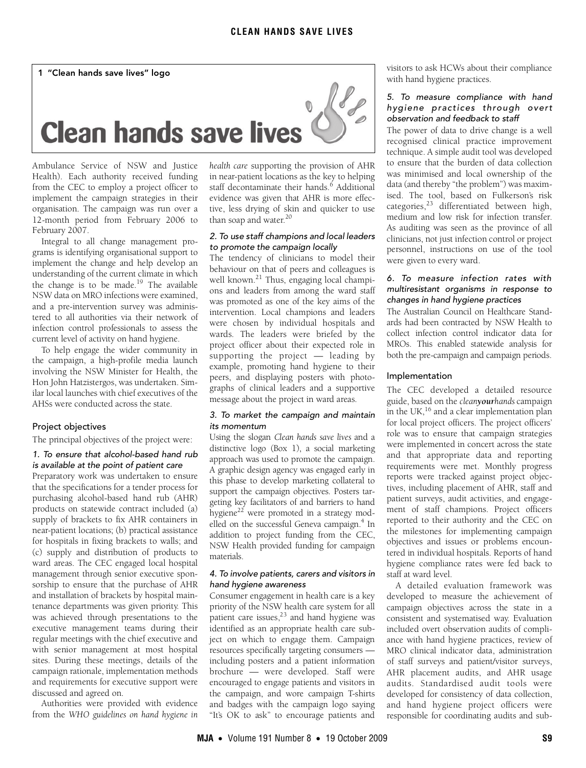1 "Clean hands save lives" logo



Ambulance Service of NSW and Justice Health). Each authority received funding from the CEC to employ a project officer to implement the campaign strategies in their organisation. The campaign was run over a 12-month period from February 2006 to February 2007.

Integral to all change management programs is identifying organisational support to implement the change and help develop an understanding of the current climate in which the change is to be made.<sup>[19](#page-4-18)</sup> The available NSW data on MRO infections were examined, and a pre-intervention survey was administered to all authorities via their network of infection control professionals to assess the current level of activity on hand hygiene.

To help engage the wider community in the campaign, a high-profile media launch involving the NSW Minister for Health, the Hon John Hatzistergos, was undertaken. Similar local launches with chief executives of the AHSs were conducted across the state.

#### Project objectives

The principal objectives of the project were:

## 1. To ensure that alcohol-based hand rub is available at the point of patient care

Preparatory work was undertaken to ensure that the specifications for a tender process for purchasing alcohol-based hand rub (AHR) products on statewide contract included (a) supply of brackets to fix AHR containers in near-patient locations; (b) practical assistance for hospitals in fixing brackets to walls; and (c) supply and distribution of products to ward areas. The CEC engaged local hospital management through senior executive sponsorship to ensure that the purchase of AHR and installation of brackets by hospital maintenance departments was given priority. This was achieved through presentations to the executive management teams during their regular meetings with the chief executive and with senior management at most hospital sites. During these meetings, details of the campaign rationale, implementation methods and requirements for executive support were discussed and agreed on.

Authorities were provided with evidence from the *WHO guidelines on hand hygiene in* *health care* supporting the provision of AHR in near-patient locations as the key to helping staff decontaminate their hands.<sup>6</sup> Additional evidence was given that AHR is more effective, less drying of skin and quicker to use than soap and water.<sup>[20](#page-4-19)</sup>

# 2. To use staff champions and local leaders to promote the campaign locally

The tendency of clinicians to model their behaviour on that of peers and colleagues is well known.<sup>21</sup> Thus, engaging local champions and leaders from among the ward staff was promoted as one of the key aims of the intervention. Local champions and leaders were chosen by individual hospitals and wards. The leaders were briefed by the project officer about their expected role in supporting the project — leading by example, promoting hand hygiene to their peers, and displaying posters with photographs of clinical leaders and a supportive message about the project in ward areas.

#### 3. To market the campaign and maintain its momentum

Using the slogan *Clean hands save lives* and a distinctive logo (Box 1), a social marketing approach was used to promote the campaign. A graphic design agency was engaged early in this phase to develop marketing collateral to support the campaign objectives. Posters targeting key facilitators of and barriers to hand hygiene<sup>22</sup> were promoted in a strategy modelled on the successful Geneva campaign.<sup>4</sup> In addition to project funding from the CEC, NSW Health provided funding for campaign materials.

# 4. To involve patients, carers and visitors in hand hygiene awareness

Consumer engagement in health care is a key priority of the NSW health care system for all patient care issues, $23$  and hand hygiene was identified as an appropriate health care subject on which to engage them. Campaign resources specifically targeting consumers including posters and a patient information brochure — were developed. Staff were encouraged to engage patients and visitors in the campaign, and wore campaign T-shirts and badges with the campaign logo saying "It's OK to ask" to encourage patients and

visitors to ask HCWs about their compliance with hand hygiene practices.

## 5. To measure compliance with hand hygiene practices through overt observation and feedback to staff

The power of data to drive change is a well recognised clinical practice improvement technique. A simple audit tool was developed to ensure that the burden of data collection was minimised and local ownership of the data (and thereby "the problem") was maximised. The tool, based on Fulkerson's risk categories,<sup>[23](#page-4-22)</sup> differentiated between high, medium and low risk for infection transfer. As auditing was seen as the province of all clinicians, not just infection control or project personnel, instructions on use of the tool were given to every ward.

## 6. To measure infection rates with multiresistant organisms in response to changes in hand hygiene practices

The Australian Council on Healthcare Standards had been contracted by NSW Health to collect infection control indicator data for MROs. This enabled statewide analysis for both the pre-campaign and campaign periods.

## Implementation

The CEC developed a detailed resource guide, based on the *cleanyourhands* campaign in the UK, $^{16}$  $^{16}$  $^{16}$  and a clear implementation plan for local project officers. The project officers' role was to ensure that campaign strategies were implemented in concert across the state and that appropriate data and reporting requirements were met. Monthly progress reports were tracked against project objectives, including placement of AHR, staff and patient surveys, audit activities, and engagement of staff champions. Project officers reported to their authority and the CEC on the milestones for implementing campaign objectives and issues or problems encountered in individual hospitals. Reports of hand hygiene compliance rates were fed back to staff at ward level.

A detailed evaluation framework was developed to measure the achievement of campaign objectives across the state in a consistent and systematised way. Evaluation included overt observation audits of compliance with hand hygiene practices, review of MRO clinical indicator data, administration of staff surveys and patient/visitor surveys, AHR placement audits, and AHR usage audits. Standardised audit tools were developed for consistency of data collection, and hand hygiene project officers were responsible for coordinating audits and sub-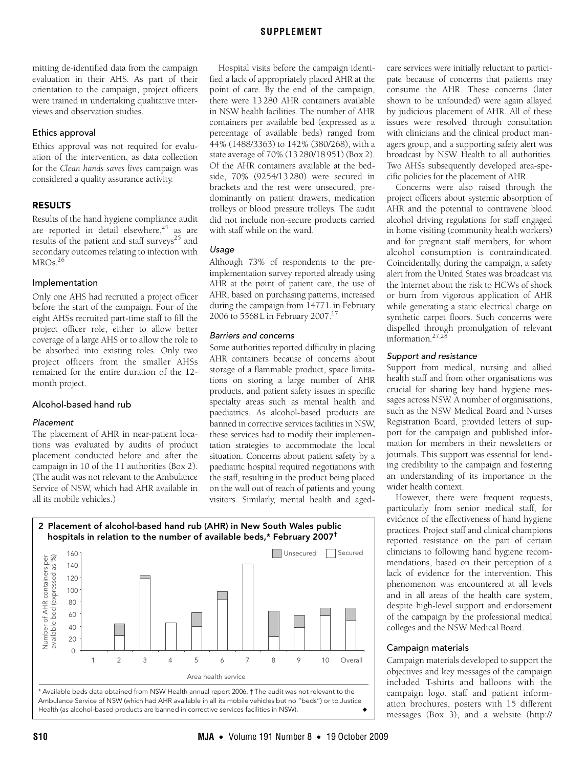# **SUPPLEMENT**

mitting de-identified data from the campaign evaluation in their AHS. As part of their orientation to the campaign, project officers were trained in undertaking qualitative interviews and observation studies.

#### Ethics approval

Ethics approval was not required for evaluation of the intervention, as data collection for the *Clean hands saves lives* campaign was considered a quality assurance activity.

#### RESULTS

Results of the hand hygiene compliance audit are reported in detail elsewhere, $24$  as are results of the patient and staff surveys<sup>25</sup> and secondary outcomes relating to infection with  $MROs.<sup>26</sup>$  $MROs.<sup>26</sup>$  $MROs.<sup>26</sup>$ 

#### Implementation

Only one AHS had recruited a project officer before the start of the campaign. Four of the eight AHSs recruited part-time staff to fill the project officer role, either to allow better coverage of a large AHS or to allow the role to be absorbed into existing roles. Only two project officers from the smaller AHSs remained for the entire duration of the 12 month project.

# Alcohol-based hand rub

#### Placement

The placement of AHR in near-patient locations was evaluated by audits of product placement conducted before and after the campaign in 10 of the 11 authorities (Box 2). (The audit was not relevant to the Ambulance Service of NSW, which had AHR available in all its mobile vehicles.)

Hospital visits before the campaign identified a lack of appropriately placed AHR at the point of care. By the end of the campaign, there were 13 280 AHR containers available in NSW health facilities. The number of AHR containers per available bed (expressed as a percentage of available beds) ranged from 44% (1488/3363) to 142% (380/268), with a state average of 70% (13 280/18 951) (Box 2). Of the AHR containers available at the bedside, 70% (9254/13 280) were secured in brackets and the rest were unsecured, predominantly on patient drawers, medication trolleys or blood pressure trolleys. The audit did not include non-secure products carried with staff while on the ward.

#### Usage

Although 73% of respondents to the preimplementation survey reported already using AHR at the point of patient care, the use of AHR, based on purchasing patterns, increased during the campaign from 1477L in February 2006 to 5568 L in February 2007.<sup>17</sup>

# Barriers and concerns

Some authorities reported difficulty in placing AHR containers because of concerns about storage of a flammable product, space limitations on storing a large number of AHR products, and patient safety issues in specific specialty areas such as mental health and paediatrics. As alcohol-based products are banned in corrective services facilities in NSW, these services had to modify their implementation strategies to accommodate the local situation. Concerns about patient safety by a paediatric hospital required negotiations with the staff, resulting in the product being placed on the wall out of reach of patients and young visitors. Similarly, mental health and aged-



2 Placement of alcohol-based hand rub (AHR) in New South Wales public

Vumber of AHR containers per<br>available bed (expressed as %) Number of AHR containers per available bed (expressed as %) $80$  $60$ 40  $20$  $\Omega$ 1 2 3 4 5 6 7 8 9 10 Overall Area health service \* Available beds data obtained from NSW Health annual report 2006. † The audit was not relevant to the Ambulance Service of NSW (which had AHR available in all its mobile vehicles but no "beds") or to Justice Health (as alcohol-based products are banned in corrective services facilities in NSW).

care services were initially reluctant to participate because of concerns that patients may consume the AHR. These concerns (later shown to be unfounded) were again allayed by judicious placement of AHR. All of these issues were resolved through consultation with clinicians and the clinical product managers group, and a supporting safety alert was broadcast by NSW Health to all authorities. Two AHSs subsequently developed area-specific policies for the placement of AHR.

Concerns were also raised through the project officers about systemic absorption of AHR and the potential to contravene blood alcohol driving regulations for staff engaged in home visiting (community health workers) and for pregnant staff members, for whom alcohol consumption is contraindicated. Coincidentally, during the campaign, a safety alert from the United States was broadcast via the Internet about the risk to HCWs of shock or burn from vigorous application of AHR while generating a static electrical charge on synthetic carpet floors. Such concerns were dispelled through promulgation of relevant information.<sup>27,[28](#page-4-27)</sup>

#### Support and resistance

Support from medical, nursing and allied health staff and from other organisations was crucial for sharing key hand hygiene messages across NSW. A number of organisations, such as the NSW Medical Board and Nurses Registration Board, provided letters of support for the campaign and published information for members in their newsletters or journals. This support was essential for lending credibility to the campaign and fostering an understanding of its importance in the wider health context.

However, there were frequent requests, particularly from senior medical staff, for evidence of the effectiveness of hand hygiene practices. Project staff and clinical champions reported resistance on the part of certain clinicians to following hand hygiene recommendations, based on their perception of a lack of evidence for the intervention. This phenomenon was encountered at all levels and in all areas of the health care system, despite high-level support and endorsement of the campaign by the professional medical colleges and the NSW Medical Board.

## Campaign materials

Campaign materials developed to support the objectives and key messages of the campaign included T-shirts and balloons with the campaign logo, staff and patient information brochures, posters with 15 different messages (Box 3), and a website (http://

#### **S10 MJA** • Volume 191 Number 8 • 19 October 2009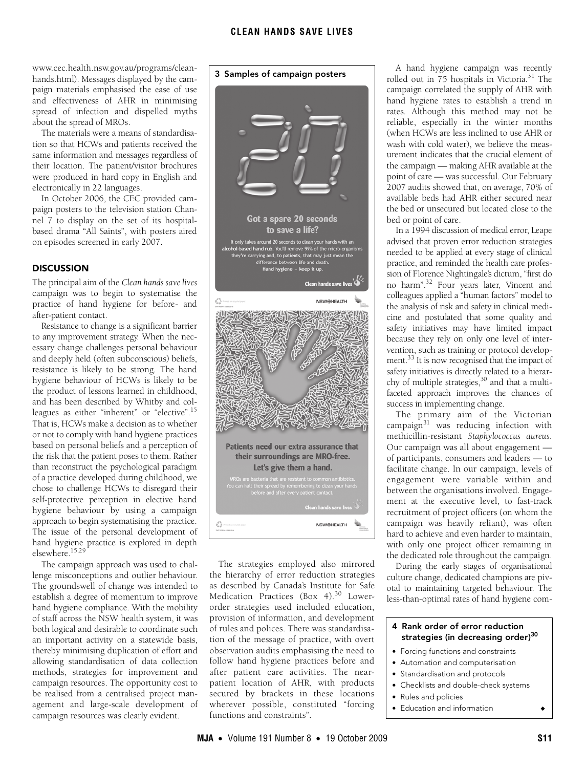# **CLEAN HANDS SAVE LIVES**

www.cec.health.nsw.gov.au/programs/cleanhands.html). Messages displayed by the campaign materials emphasised the ease of use and effectiveness of AHR in minimising spread of infection and dispelled myths about the spread of MROs.

The materials were a means of standardisation so that HCWs and patients received the same information and messages regardless of their location. The patient/visitor brochures were produced in hard copy in English and electronically in 22 languages.

In October 2006, the CEC provided campaign posters to the television station Channel 7 to display on the set of its hospitalbased drama "All Saints", with posters aired on episodes screened in early 2007.

## **DISCUSSION**

The principal aim of the *Clean hands save lives* campaign was to begin to systematise the practice of hand hygiene for before- and after-patient contact.

Resistance to change is a significant barrier to any improvement strategy. When the necessary change challenges personal behaviour and deeply held (often subconscious) beliefs, resistance is likely to be strong. The hand hygiene behaviour of HCWs is likely to be the product of lessons learned in childhood, and has been described by Whitby and colleagues as either "inherent" or "elective".<sup>15</sup> That is, HCWs make a decision as to whether or not to comply with hand hygiene practices based on personal beliefs and a perception of the risk that the patient poses to them. Rather than reconstruct the psychological paradigm of a practice developed during childhood, we chose to challenge HCWs to disregard their self-protective perception in elective hand hygiene behaviour by using a campaign approach to begin systematising the practice. The issue of the personal development of hand hygiene practice is explored in depth elsewhere.[15](#page-4-13)[,29](#page-4-29)

The campaign approach was used to challenge misconceptions and outlier behaviour. The groundswell of change was intended to establish a degree of momentum to improve hand hygiene compliance. With the mobility of staff across the NSW health system, it was both logical and desirable to coordinate such an important activity on a statewide basis, thereby minimising duplication of effort and allowing standardisation of data collection methods, strategies for improvement and campaign resources. The opportunity cost to be realised from a centralised project management and large-scale development of campaign resources was clearly evident.



The strategies employed also mirrored the hierarchy of error reduction strategies as described by Canada's Institute for Safe Medication Practices (Box 4).<sup>[30](#page-4-28)</sup> Lowerorder strategies used included education, provision of information, and development of rules and polices. There was standardisation of the message of practice, with overt observation audits emphasising the need to follow hand hygiene practices before and after patient care activities. The nearpatient location of AHR, with products secured by brackets in these locations wherever possible, constituted "forcing functions and constraints".

A hand hygiene campaign was recently rolled out in  $75$  hospitals in Victoria.<sup>31</sup> The campaign correlated the supply of AHR with hand hygiene rates to establish a trend in rates. Although this method may not be reliable, especially in the winter months (when HCWs are less inclined to use AHR or wash with cold water), we believe the measurement indicates that the crucial element of the campaign — making AHR available at the point of care — was successful. Our February 2007 audits showed that, on average, 70% of available beds had AHR either secured near the bed or unsecured but located close to the bed or point of care.

In a 1994 discussion of medical error, Leape advised that proven error reduction strategies needed to be applied at every stage of clinical practice, and reminded the health care profession of Florence Nightingale's dictum, "first do no harm"[.32](#page-4-31) Four years later, Vincent and colleagues applied a "human factors" model to the analysis of risk and safety in clinical medicine and postulated that some quality and safety initiatives may have limited impact because they rely on only one level of intervention, such as training or protocol development[.33](#page-4-17) It is now recognised that the impact of safety initiatives is directly related to a hierarchy of multiple strategies,<sup>30</sup> and that a multifaceted approach improves the chances of success in implementing change.

The primary aim of the Victorian campaign<sup>[31](#page-4-30)</sup> was reducing infection with methicillin-resistant *Staphylococcus aureus*. Our campaign was all about engagement of participants, consumers and leaders — to facilitate change. In our campaign, levels of engagement were variable within and between the organisations involved. Engagement at the executive level, to fast-track recruitment of project officers (on whom the campaign was heavily reliant), was often hard to achieve and even harder to maintain, with only one project officer remaining in the dedicated role throughout the campaign.

During the early stages of organisational culture change, dedicated champions are pivotal to maintaining targeted behaviour. The less-than-optimal rates of hand hygiene com-

# 4 Rank order of error reduction strategies (in decreasing order)<sup>[30](#page-4-28)</sup>

- Forcing functions and constraints
- Automation and computerisation
- Standardisation and protocols
- Checklists and double-check systems
- Rules and policies
- Education and information